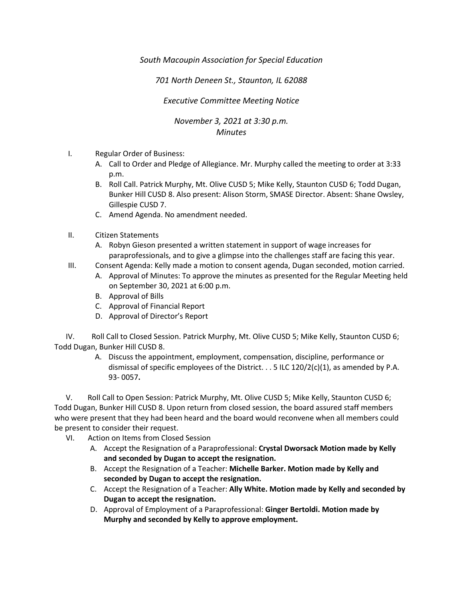*South Macoupin Association for Special Education* 

*701 North Deneen St., Staunton, IL 62088* 

*Executive Committee Meeting Notice*

*November 3, 2021 at 3:30 p.m. Minutes*

- I. Regular Order of Business:
	- A. Call to Order and Pledge of Allegiance. Mr. Murphy called the meeting to order at 3:33 p.m.
	- B. Roll Call. Patrick Murphy, Mt. Olive CUSD 5; Mike Kelly, Staunton CUSD 6; Todd Dugan, Bunker Hill CUSD 8. Also present: Alison Storm, SMASE Director. Absent: Shane Owsley, Gillespie CUSD 7.
	- C. Amend Agenda. No amendment needed.
- II. Citizen Statements
	- A. Robyn Gieson presented a written statement in support of wage increases for paraprofessionals, and to give a glimpse into the challenges staff are facing this year.
- III. Consent Agenda: Kelly made a motion to consent agenda, Dugan seconded, motion carried.
	- A. Approval of Minutes: To approve the minutes as presented for the Regular Meeting held on September 30, 2021 at 6:00 p.m.
	- B. Approval of Bills
	- C. Approval of Financial Report
	- D. Approval of Director's Report

 IV. Roll Call to Closed Session. Patrick Murphy, Mt. Olive CUSD 5; Mike Kelly, Staunton CUSD 6; Todd Dugan, Bunker Hill CUSD 8.

> A. Discuss the appointment, employment, compensation, discipline, performance or dismissal of specific employees of the District.  $\ldots$  5 ILC 120/2(c)(1), as amended by P.A. 93- 0057**.**

 V. Roll Call to Open Session: Patrick Murphy, Mt. Olive CUSD 5; Mike Kelly, Staunton CUSD 6; Todd Dugan, Bunker Hill CUSD 8. Upon return from closed session, the board assured staff members who were present that they had been heard and the board would reconvene when all members could be present to consider their request.

- VI. Action on Items from Closed Session
	- A. Accept the Resignation of a Paraprofessional: **Crystal Dworsack Motion made by Kelly and seconded by Dugan to accept the resignation.**
	- B. Accept the Resignation of a Teacher: **Michelle Barker. Motion made by Kelly and seconded by Dugan to accept the resignation.**
	- C. Accept the Resignation of a Teacher: **Ally White. Motion made by Kelly and seconded by Dugan to accept the resignation.**
	- D. Approval of Employment of a Paraprofessional: **Ginger Bertoldi. Motion made by Murphy and seconded by Kelly to approve employment.**